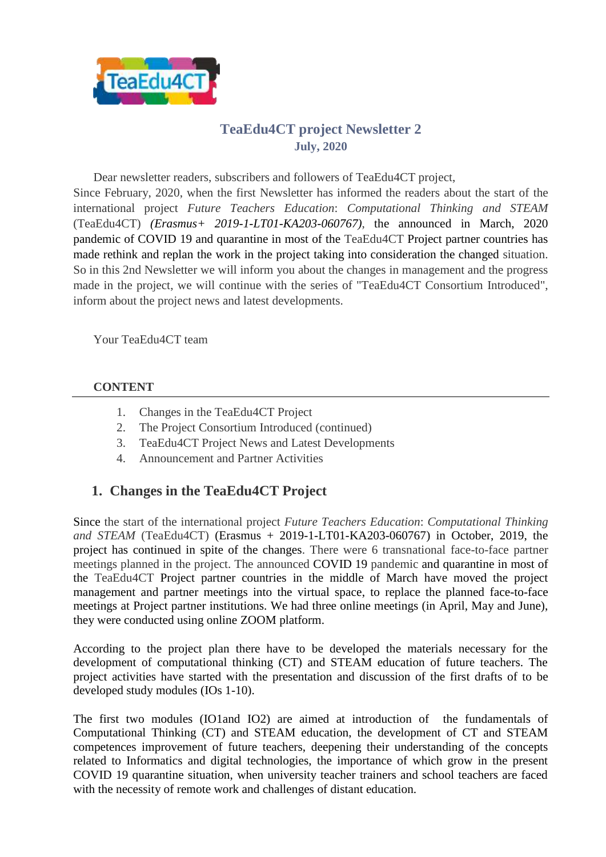

# **TeaEdu4CT project Newsletter 2 July, 2020**

Dear newsletter readers, subscribers and followers of TeaEdu4CT project, Since February, 2020, when the first Newsletter has informed the readers about the start of the international project *Future Teachers Education*: *Computational Thinking and STEAM* (TeaEdu4CT) *(Erasmus+ 2019-1-LT01-KA203-060767)*, the announced in March, 2020 pandemic of COVID 19 and quarantine in most of the TeaEdu4CT Project partner countries has made rethink and replan the work in the project taking into consideration the changed situation. So in this 2nd Newsletter we will inform you about the changes in management and the progress made in the project, we will continue with the series of "TeaEdu4CT Consortium Introduced", inform about the project news and latest developments.

Your TeaEdu4CT team

#### **CONTENT**

- 1. Changes in the TeaEdu4CT Project
- 2. The Project Consortium Introduced (continued)
- 3. TeaEdu4CT Project News and Latest Developments
- 4. Announcement and Partner Activities

# **1. Changes in the TeaEdu4CT Project**

Since the start of the international project *Future Teachers Education*: *Computational Thinking and STEAM* (TeaEdu4CT) (Erasmus + 2019-1-LT01-KA203-060767) in October, 2019, the project has continued in spite of the changes. There were 6 transnational face-to-face partner meetings planned in the project. The announced COVID 19 pandemic and quarantine in most of the TeaEdu4CT Project partner countries in the middle of March have moved the project management and partner meetings into the virtual space, to replace the planned face-to-face meetings at Project partner institutions. We had three online meetings (in April, May and June), they were conducted using online ZOOM platform.

According to the project plan there have to be developed the materials necessary for the development of computational thinking (CT) and STEAM education of future teachers. The project activities have started with the presentation and discussion of the first drafts of to be developed study modules (IOs 1-10).

The first two modules (IO1and IO2) are aimed at introduction of the fundamentals of Computational Thinking (CT) and STEAM education, the development of CT and STEAM competences improvement of future teachers, deepening their understanding of the concepts related to Informatics and digital technologies, the importance of which grow in the present COVID 19 quarantine situation, when university teacher trainers and school teachers are faced with the necessity of remote work and challenges of distant education.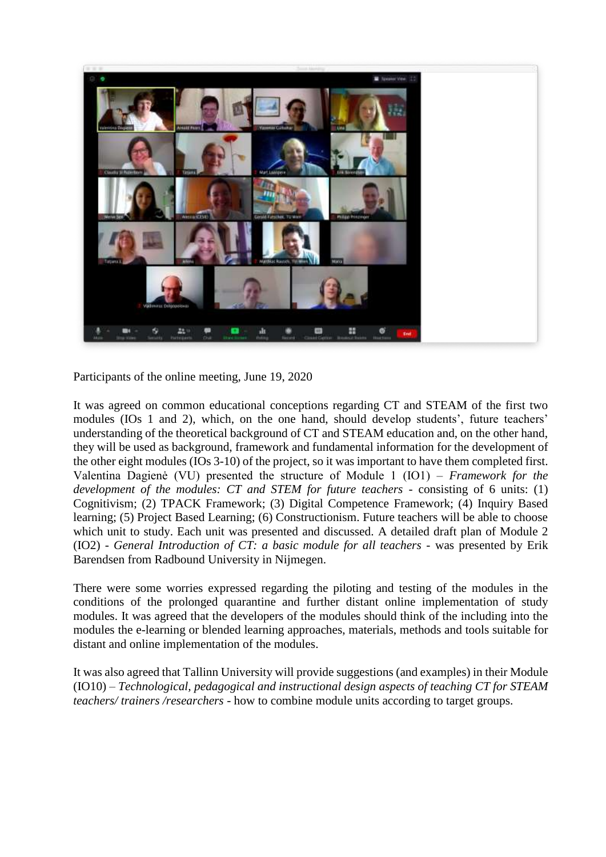

Participants of the online meeting, June 19, 2020

It was agreed on common educational conceptions regarding CT and STEAM of the first two modules (IOs 1 and 2), which, on the one hand, should develop students', future teachers' understanding of the theoretical background of CT and STEAM education and, on the other hand, they will be used as background, framework and fundamental information for the development of the other eight modules (IOs 3-10) of the project, so it was important to have them completed first. Valentina Dagienė (VU) presented the structure of Module 1 (IO1) – *Framework for the development of the modules: CT and STEM for future teachers* - consisting of 6 units: (1) Cognitivism; (2) TPACK Framework; (3) Digital Competence Framework; (4) Inquiry Based learning; (5) Project Based Learning; (6) Constructionism. Future teachers will be able to choose which unit to study. Each unit was presented and discussed. A detailed draft plan of Module 2 (IO2) - *General Introduction of CT: a basic module for all teachers* - was presented by Erik Barendsen from Radbound University in Nijmegen.

There were some worries expressed regarding the piloting and testing of the modules in the conditions of the prolonged quarantine and further distant online implementation of study modules. It was agreed that the developers of the modules should think of the including into the modules the e-learning or blended learning approaches, materials, methods and tools suitable for distant and online implementation of the modules.

It was also agreed that Tallinn University will provide suggestions (and examples) in their Module (IO10) – *Technological, pedagogical and instructional design aspects of teaching CT for STEAM teachers/ trainers /researchers* - how to combine module units according to target groups.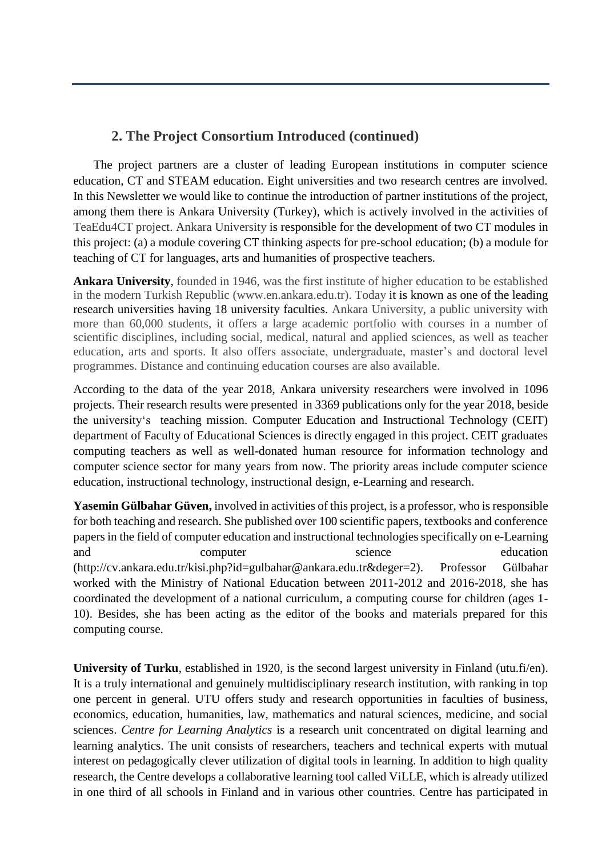### **2. The Project Consortium Introduced (continued)**

The project partners are a cluster of leading European institutions in computer science education, CT and STEAM education. Eight universities and two research centres are involved. In this Newsletter we would like to continue the introduction of partner institutions of the project, among them there is Ankara University (Turkey), which is actively involved in the activities of TeaEdu4CT project. Ankara University is responsible for the development of two CT modules in this project: (a) a module covering CT thinking aspects for pre-school education; (b) a module for teaching of CT for languages, arts and humanities of prospective teachers.

**Ankara University**, founded in 1946, was the first institute of higher education to be established in the modern Turkish Republic (www.en.ankara.edu.tr). Today it is known as one of the leading research universities having 18 university faculties. Ankara University, a public university with more than 60,000 students, it offers a large academic portfolio with courses in a number of scientific disciplines, including social, medical, natural and applied sciences, as well as teacher education, arts and sports. It also offers associate, undergraduate, master's and doctoral level programmes. Distance and continuing education courses are also available.

According to the data of the year 2018, Ankara university researchers were involved in 1096 projects. Their research results were presented in 3369 publications only for the year 2018, beside the university's teaching mission. Computer Education and Instructional Technology (CEIT) department of Faculty of Educational Sciences is directly engaged in this project. CEIT graduates computing teachers as well as well-donated human resource for information technology and computer science sector for many years from now. The priority areas include computer science education, instructional technology, instructional design, e-Learning and research.

**Yasemin Gülbahar Güven,** involved in activities of this project, is a professor, who is responsible for both teaching and research. She published over 100 scientific papers, textbooks and conference papers in the field of computer education and instructional technologies specifically on e-Learning and computer science education (http://cv.ankara.edu.tr/kisi.php?id=gulbahar@ankara.edu.tr&deger=2). Professor Gülbahar worked with the Ministry of National Education between 2011-2012 and 2016-2018, she has coordinated the development of a national curriculum, a computing course for children (ages 1- 10). Besides, she has been acting as the editor of the books and materials prepared for this computing course.

**University of Turku**, established in 1920, is the second largest university in Finland (utu.fi/en). It is a truly international and genuinely multidisciplinary research institution, with ranking in top one percent in general. UTU offers study and research opportunities in faculties of business, economics, education, humanities, law, mathematics and natural sciences, medicine, and social sciences. *Centre for Learning Analytics* is a research unit concentrated on digital learning and learning analytics. The unit consists of researchers, teachers and technical experts with mutual interest on pedagogically clever utilization of digital tools in learning. In addition to high quality research, the Centre develops a collaborative learning tool called ViLLE, which is already utilized in one third of all schools in Finland and in various other countries. Centre has participated in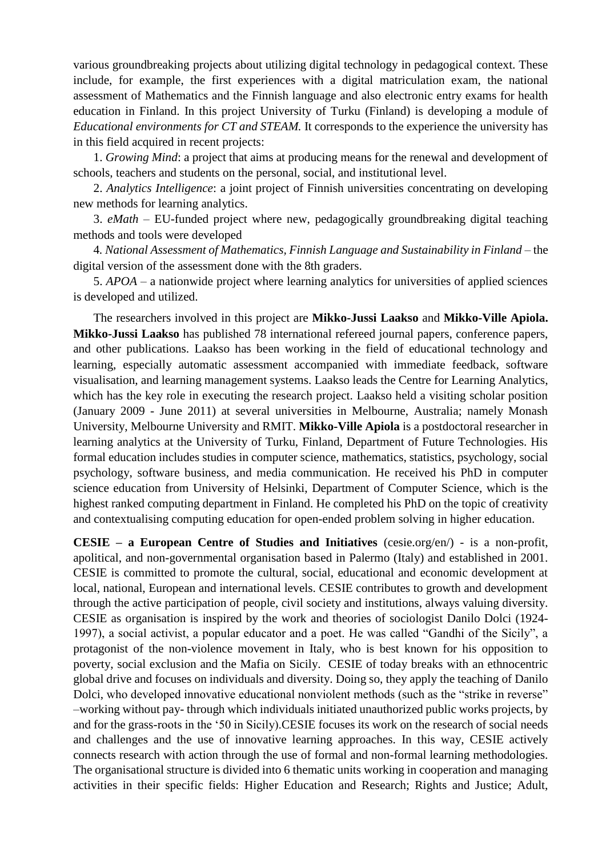various groundbreaking projects about utilizing digital technology in pedagogical context. These include, for example, the first experiences with a digital matriculation exam, the national assessment of Mathematics and the Finnish language and also electronic entry exams for health education in Finland. In this project University of Turku (Finland) is developing a module of *Educational environments for CT and STEAM.* It corresponds to the experience the university has in this field acquired in recent projects:

1. *Growing Mind*: a project that aims at producing means for the renewal and development of schools, teachers and students on the personal, social, and institutional level.

2. *Analytics Intelligence*: a joint project of Finnish universities concentrating on developing new methods for learning analytics.

3. *eMath* – EU-funded project where new, pedagogically groundbreaking digital teaching methods and tools were developed

4*. National Assessment of Mathematics, Finnish Language and Sustainability in Finland* – the digital version of the assessment done with the 8th graders.

5. *APOA* – a nationwide project where learning analytics for universities of applied sciences is developed and utilized.

The researchers involved in this project are **Mikko-Jussi Laakso** and **Mikko-Ville Apiola. Mikko-Jussi Laakso** has published 78 international refereed journal papers, conference papers, and other publications. Laakso has been working in the field of educational technology and learning, especially automatic assessment accompanied with immediate feedback, software visualisation, and learning management systems. Laakso leads the Centre for Learning Analytics, which has the key role in executing the research project. Laakso held a visiting scholar position (January 2009 - June 2011) at several universities in Melbourne, Australia; namely Monash University, Melbourne University and RMIT. **Mikko-Ville Apiola** is a postdoctoral researcher in learning analytics at the University of Turku, Finland, Department of Future Technologies. His formal education includes studies in computer science, mathematics, statistics, psychology, social psychology, software business, and media communication. He received his PhD in computer science education from University of Helsinki, Department of Computer Science, which is the highest ranked computing department in Finland. He completed his PhD on the topic of creativity and contextualising computing education for open-ended problem solving in higher education.

**CESIE – a European Centre of Studies and Initiatives** (cesie.org/en/) - is a non-profit, apolitical, and non-governmental organisation based in Palermo (Italy) and established in 2001. CESIE is committed to promote the cultural, social, educational and economic development at local, national, European and international levels. CESIE contributes to growth and development through the active participation of people, civil society and institutions, always valuing diversity. CESIE as organisation is inspired by the work and theories of sociologist Danilo Dolci (1924- 1997), a social activist, a popular educator and a poet. He was called "Gandhi of the Sicily", a protagonist of the non-violence movement in Italy, who is best known for his opposition to poverty, social exclusion and the Mafia on Sicily. CESIE of today breaks with an ethnocentric global drive and focuses on individuals and diversity. Doing so, they apply the teaching of Danilo Dolci, who developed innovative educational nonviolent methods (such as the "strike in reverse" –working without pay- through which individuals initiated unauthorized public works projects, by and for the grass-roots in the '50 in Sicily).CESIE focuses its work on the research of social needs and challenges and the use of innovative learning approaches. In this way, CESIE actively connects research with action through the use of formal and non-formal learning methodologies. The organisational structure is divided into 6 thematic units working in cooperation and managing activities in their specific fields: Higher Education and Research; Rights and Justice; Adult,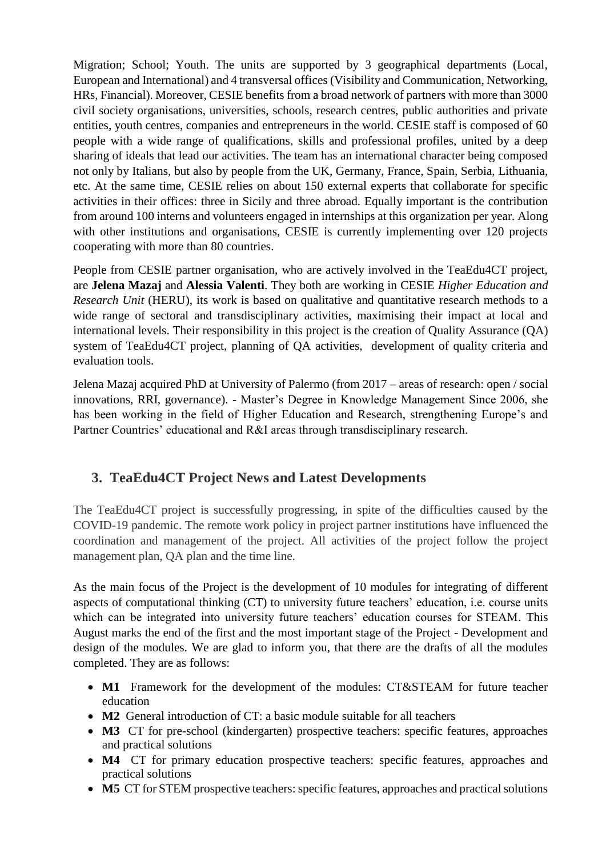Migration; School; Youth. The units are supported by 3 geographical departments (Local, European and International) and 4 transversal offices (Visibility and Communication, Networking, HRs, Financial). Moreover, CESIE benefits from a broad network of partners with more than 3000 civil society organisations, universities, schools, research centres, public authorities and private entities, youth centres, companies and entrepreneurs in the world. CESIE staff is composed of 60 people with a wide range of qualifications, skills and professional profiles, united by a deep sharing of ideals that lead our activities. The team has an international character being composed not only by Italians, but also by people from the UK, Germany, France, Spain, Serbia, Lithuania, etc. At the same time, CESIE relies on about 150 external experts that collaborate for specific activities in their offices: three in Sicily and three abroad. Equally important is the contribution from around 100 interns and volunteers engaged in internships at this organization per year. Along with other institutions and organisations, CESIE is currently implementing over 120 projects cooperating with more than 80 countries.

People from CESIE partner organisation, who are actively involved in the TeaEdu4CT project, are **Jelena Mazaj** and **Alessia Valenti**. They both are working in CESIE *Higher Education and Research Unit* (HERU), its work is based on qualitative and quantitative research methods to a wide range of sectoral and transdisciplinary activities, maximising their impact at local and international levels. Their responsibility in this project is the creation of Quality Assurance (QA) system of TeaEdu4CT project, planning of QA activities, development of quality criteria and evaluation tools.

Jelena Mazaj acquired PhD at University of Palermo (from 2017 – areas of research: open / social innovations, RRI, governance). - Master's Degree in Knowledge Management Since 2006, she has been working in the field of Higher Education and Research, strengthening Europe's and Partner Countries' educational and R&I areas through transdisciplinary research.

## **3. TeaEdu4CT Project News and Latest Developments**

The TeaEdu4CT project is successfully progressing, in spite of the difficulties caused by the COVID-19 pandemic. The remote work policy in project partner institutions have influenced the coordination and management of the project. All activities of the project follow the project management plan, QA plan and the time line.

As the main focus of the Project is the development of 10 modules for integrating of different aspects of computational thinking (CT) to university future teachers' education, i.e. course units which can be integrated into university future teachers' education courses for STEAM. This August marks the end of the first and the most important stage of the Project - Development and design of the modules. We are glad to inform you, that there are the drafts of all the modules completed. They are as follows:

- **M1** Framework for the development of the modules: CT&STEAM for future teacher education
- **M2** General introduction of CT: a basic module suitable for all teachers
- **M3** CT for pre-school (kindergarten) prospective teachers: specific features, approaches and practical solutions
- **M4** CT for primary education prospective teachers: specific features, approaches and practical solutions
- **M5** CT for STEM prospective teachers: specific features, approaches and practical solutions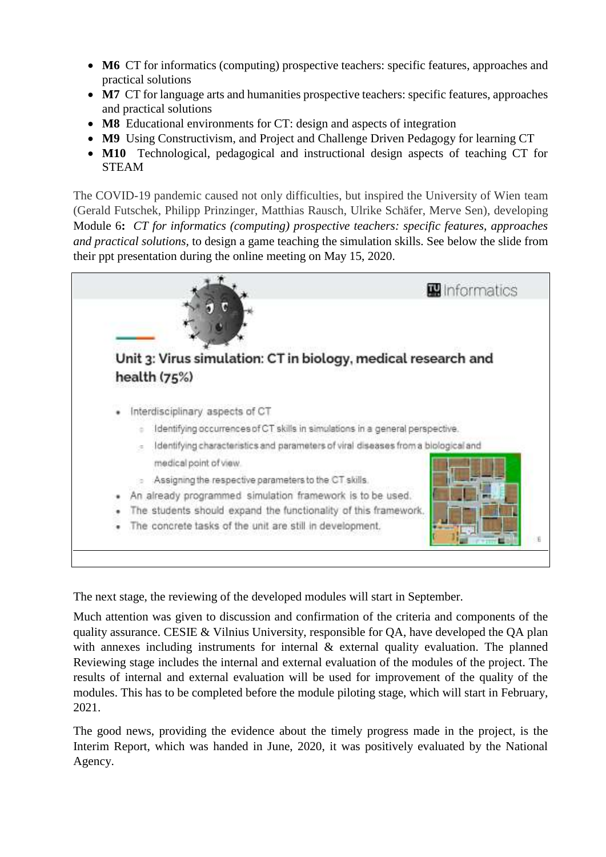- **M6** CT for informatics (computing) prospective teachers: specific features, approaches and practical solutions
- M7 CT for language arts and humanities prospective teachers: specific features, approaches and practical solutions
- **M8** Educational environments for CT: design and aspects of integration
- **M9** Using Constructivism, and Project and Challenge Driven Pedagogy for learning CT
- **M10** Technological, pedagogical and instructional design aspects of teaching CT for STEAM

The COVID-19 pandemic caused not only difficulties, but inspired the University of Wien team (Gerald Futschek, Philipp Prinzinger, Matthias Rausch, Ulrike Schäfer, Merve Sen), developing Module 6**:** *CT for informatics (computing) prospective teachers: specific features, approaches and practical solutions,* to design a game teaching the simulation skills. See below the slide from their ppt presentation during the online meeting on May 15, 2020.



The next stage, the reviewing of the developed modules will start in September.

Much attention was given to discussion and confirmation of the criteria and components of the quality assurance. CESIE & Vilnius University, responsible for QA, have developed the QA plan with annexes including instruments for internal & external quality evaluation. The planned Reviewing stage includes the internal and external evaluation of the modules of the project. The results of internal and external evaluation will be used for improvement of the quality of the modules. This has to be completed before the module piloting stage, which will start in February, 2021.

The good news, providing the evidence about the timely progress made in the project, is the Interim Report, which was handed in June, 2020, it was positively evaluated by the National Agency.